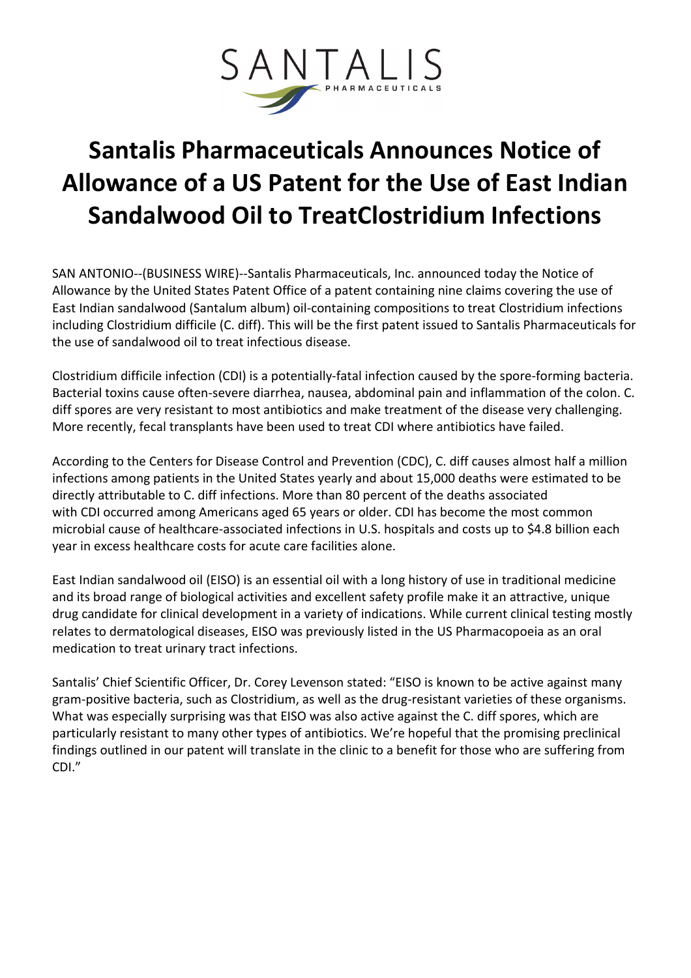

## Santalis Pharmaceuticals Announces Notice of Allowance of a US Patent for the Use of East Indian Sandalwood Oil to TreatClostridium Infections

SAN ANTONIO--(BUSINESS WIRE)--Santalis Pharmaceuticals, Inc. announced today the Notice of Allowance by the United States Patent Office of a patent containing nine claims covering the use of East Indian sandalwood (Santalum album) oil-containing compositions to treat Clostridium infections including Clostridium difficile (C. diff). This will be the first patent issued to Santalis Pharmaceuticals for the use of sandalwood oil to treat infectious disease.

Clostridium difficile infection (CDI) is a potentially-fatal infection caused by the spore-forming bacteria. Bacterial toxins cause often-severe diarrhea, nausea, abdominal pain and inflammation of the colon. C. diff spores are very resistant to most antibiotics and make treatment of the disease very challenging. More recently, fecal transplants have been used to treat CDI where antibiotics have failed.

According to the Centers for Disease Control and Prevention (CDC), C. diff causes almost half a million infections among patients in the United States yearly and about 15,000 deaths were estimated to be directly attributable to C. diff infections. More than 80 percent of the deaths associated with CDI occurred among Americans aged 65 years or older. CDI has become the most common microbial cause of healthcare-associated infections in U.S. hospitals and costs up to \$4.8 billion each year in excess healthcare costs for acute care facilities alone.

East Indian sandalwood oil (EISO) is an essential oil with a long history of use in traditional medicine and its broad range of biological activities and excellent safety profile make it an attractive, unique drug candidate for clinical development in a variety of indications. While current clinical testing mostly relates to dermatological diseases, EISO was previously listed in the US Pharmacopoeia as an oral medication to treat urinary tract infections.

Santalis' Chief Scientific Officer, Dr. Corey Levenson stated: "EISO is known to be active against many gram-positive bacteria, such as Clostridium, as well as the drug-resistant varieties of these organisms. What was especially surprising was that EISO was also active against the C. diff spores, which are particularly resistant to many other types of antibiotics. We're hopeful that the promising preclinical findings outlined in our patent will translate in the clinic to a benefit for those who are suffering from CDI."